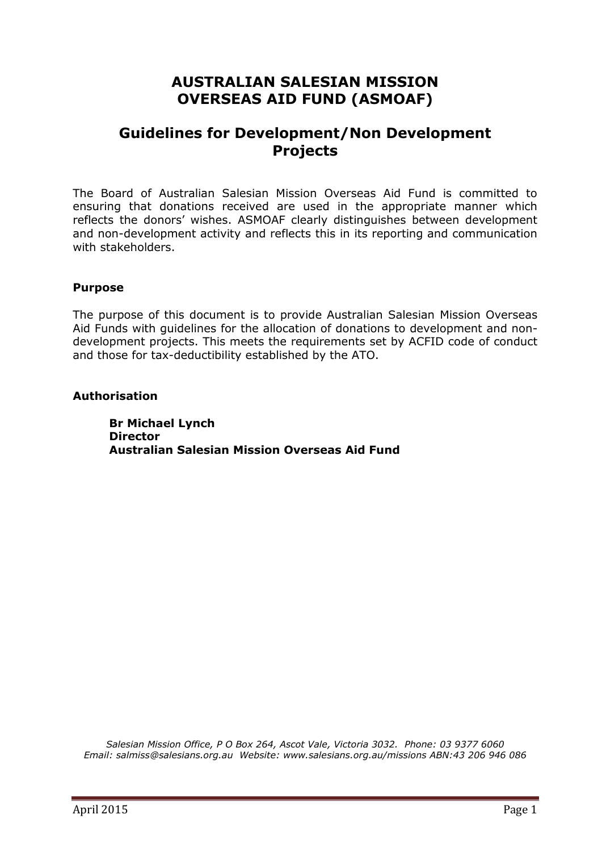# **AUSTRALIAN SALESIAN MISSION OVERSEAS AID FUND (ASMOAF)**

## **Guidelines for Development/Non Development Projects**

The Board of Australian Salesian Mission Overseas Aid Fund is committed to ensuring that donations received are used in the appropriate manner which reflects the donors' wishes. ASMOAF clearly distinguishes between development and non-development activity and reflects this in its reporting and communication with stakeholders.

#### **Purpose**

The purpose of this document is to provide Australian Salesian Mission Overseas Aid Funds with guidelines for the allocation of donations to development and nondevelopment projects. This meets the requirements set by ACFID code of conduct and those for tax-deductibility established by the ATO.

#### **Authorisation**

**Br Michael Lynch Director Australian Salesian Mission Overseas Aid Fund** 

*Salesian Mission Office, P O Box 264, Ascot Vale, Victoria 3032. Phone: 03 9377 6060 Email: [salmiss@salesians.org.au](mailto:salmiss@salesians.org.au) Website: [www.salesians.org.au/missions](http://www.salesians.org.au/missions%20ABN:43) ABN:43 206 946 086*